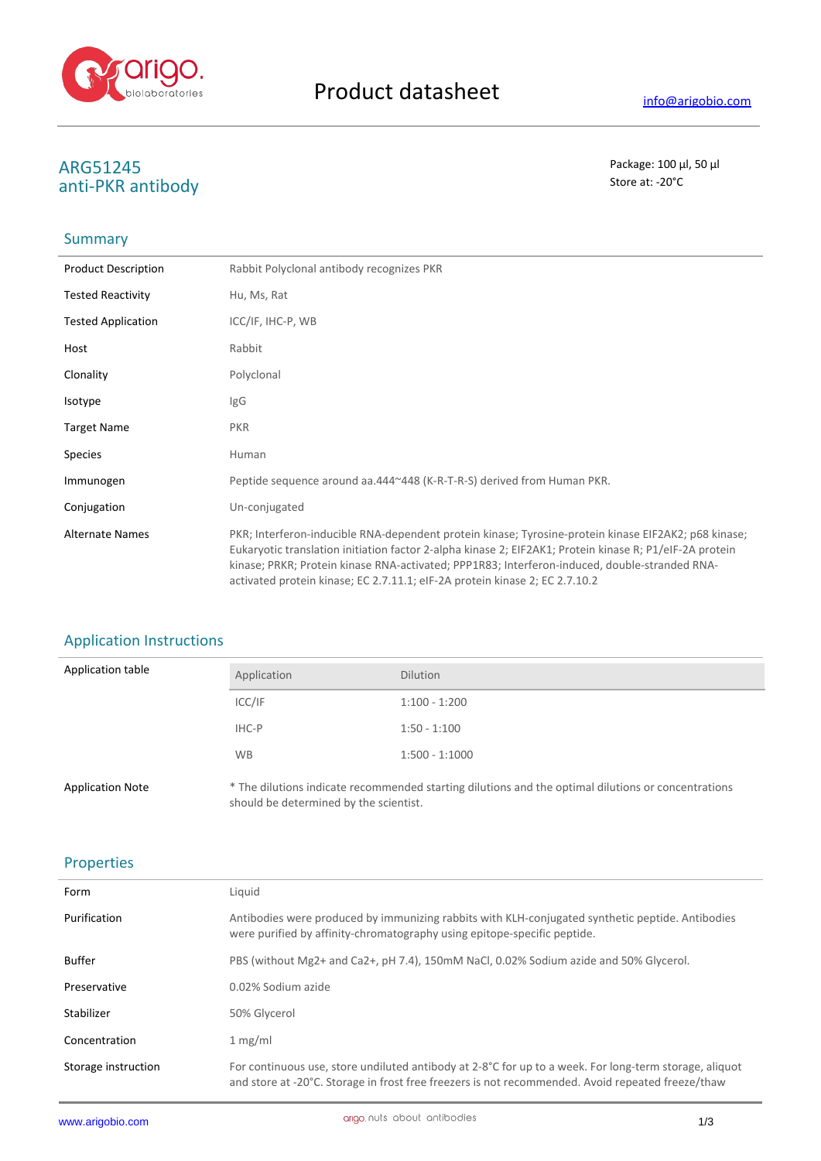

# **ARG51245** Package: 100 μl, 50 μl<br>
anti-DKR antibody anti-PKR antibody

# **Summary**

| <b>Product Description</b> | Rabbit Polyclonal antibody recognizes PKR                                                                                                                                                                                                                                                                                                                                                       |
|----------------------------|-------------------------------------------------------------------------------------------------------------------------------------------------------------------------------------------------------------------------------------------------------------------------------------------------------------------------------------------------------------------------------------------------|
| <b>Tested Reactivity</b>   | Hu, Ms, Rat                                                                                                                                                                                                                                                                                                                                                                                     |
| <b>Tested Application</b>  | ICC/IF, IHC-P, WB                                                                                                                                                                                                                                                                                                                                                                               |
| Host                       | Rabbit                                                                                                                                                                                                                                                                                                                                                                                          |
| Clonality                  | Polyclonal                                                                                                                                                                                                                                                                                                                                                                                      |
| Isotype                    | IgG                                                                                                                                                                                                                                                                                                                                                                                             |
| <b>Target Name</b>         | <b>PKR</b>                                                                                                                                                                                                                                                                                                                                                                                      |
| <b>Species</b>             | Human                                                                                                                                                                                                                                                                                                                                                                                           |
| Immunogen                  | Peptide sequence around aa.444~448 (K-R-T-R-S) derived from Human PKR.                                                                                                                                                                                                                                                                                                                          |
| Conjugation                | Un-conjugated                                                                                                                                                                                                                                                                                                                                                                                   |
| <b>Alternate Names</b>     | PKR; Interferon-inducible RNA-dependent protein kinase; Tyrosine-protein kinase EIF2AK2; p68 kinase;<br>Eukaryotic translation initiation factor 2-alpha kinase 2; EIF2AK1; Protein kinase R; P1/eIF-2A protein<br>kinase; PRKR; Protein kinase RNA-activated; PPP1R83; Interferon-induced, double-stranded RNA-<br>activated protein kinase; EC 2.7.11.1; eIF-2A protein kinase 2; EC 2.7.10.2 |

# Application Instructions

| <b>Application table</b> | Application                            | <b>Dilution</b>                                                                                     |
|--------------------------|----------------------------------------|-----------------------------------------------------------------------------------------------------|
|                          | ICC/IF                                 | $1:100 - 1:200$                                                                                     |
|                          | IHC-P                                  | $1:50 - 1:100$                                                                                      |
|                          | <b>WB</b>                              | $1:500 - 1:1000$                                                                                    |
| <b>Application Note</b>  | should be determined by the scientist. | * The dilutions indicate recommended starting dilutions and the optimal dilutions or concentrations |

# Properties

| Form                | Liquid                                                                                                                                                                                                                 |
|---------------------|------------------------------------------------------------------------------------------------------------------------------------------------------------------------------------------------------------------------|
| Purification        | Antibodies were produced by immunizing rabbits with KLH-conjugated synthetic peptide. Antibodies<br>were purified by affinity-chromatography using epitope-specific peptide.                                           |
| <b>Buffer</b>       | PBS (without Mg2+ and Ca2+, pH 7.4), 150mM NaCl, 0.02% Sodium azide and 50% Glycerol.                                                                                                                                  |
| Preservative        | 0.02% Sodium azide                                                                                                                                                                                                     |
| Stabilizer          | 50% Glycerol                                                                                                                                                                                                           |
| Concentration       | 1 mg/ml                                                                                                                                                                                                                |
| Storage instruction | For continuous use, store undiluted antibody at 2-8 $^{\circ}$ C for up to a week. For long-term storage, aliquot<br>and store at -20°C. Storage in frost free freezers is not recommended. Avoid repeated freeze/thaw |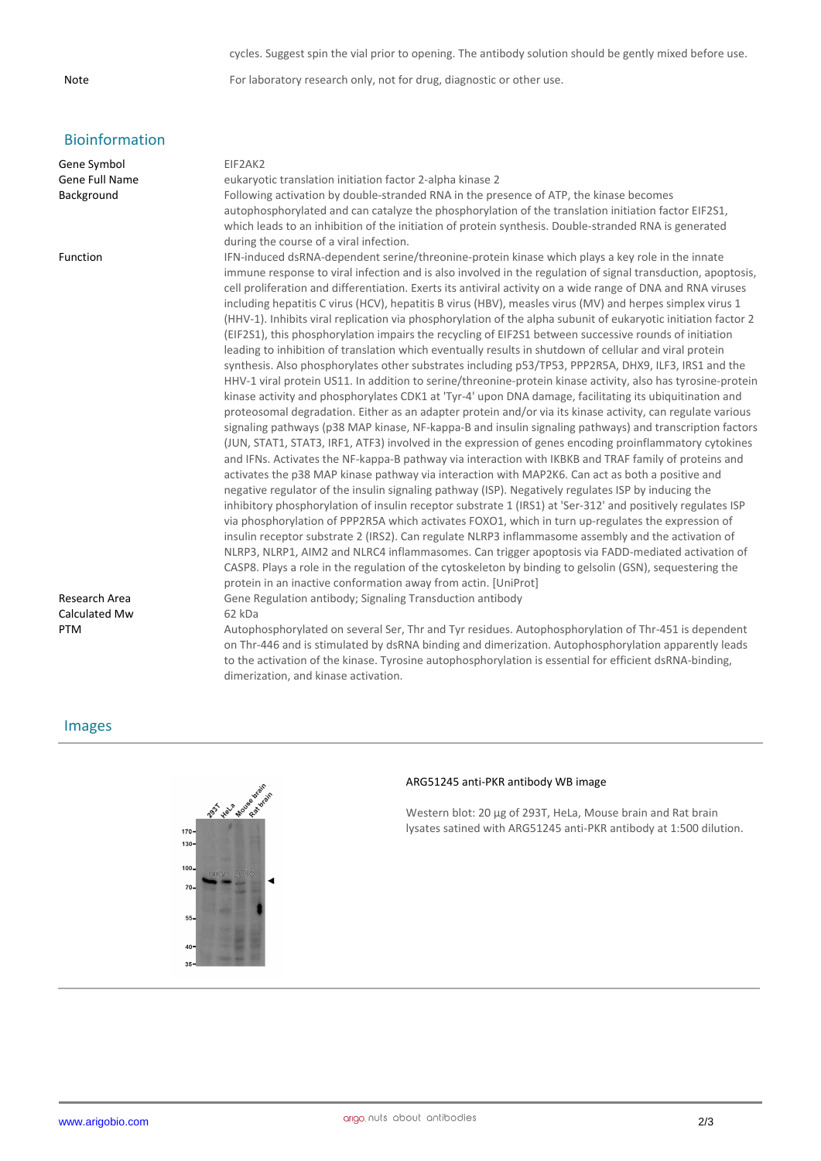#### cycles. Suggest spin the vial prior to opening. The antibody solution should be gently mixed before use.

Note For laboratory research only, not for drug, diagnostic or other use.

# Bioinformation

| Gene Symbol    | EIF2AK2                                                                                                        |
|----------------|----------------------------------------------------------------------------------------------------------------|
| Gene Full Name | eukaryotic translation initiation factor 2-alpha kinase 2                                                      |
| Background     | Following activation by double-stranded RNA in the presence of ATP, the kinase becomes                         |
|                | autophosphorylated and can catalyze the phosphorylation of the translation initiation factor EIF2S1,           |
|                | which leads to an inhibition of the initiation of protein synthesis. Double-stranded RNA is generated          |
|                | during the course of a viral infection.                                                                        |
| Function       | IFN-induced dsRNA-dependent serine/threonine-protein kinase which plays a key role in the innate               |
|                | immune response to viral infection and is also involved in the regulation of signal transduction, apoptosis,   |
|                | cell proliferation and differentiation. Exerts its antiviral activity on a wide range of DNA and RNA viruses   |
|                | including hepatitis C virus (HCV), hepatitis B virus (HBV), measles virus (MV) and herpes simplex virus 1      |
|                | (HHV-1). Inhibits viral replication via phosphorylation of the alpha subunit of eukaryotic initiation factor 2 |
|                | (EIF2S1), this phosphorylation impairs the recycling of EIF2S1 between successive rounds of initiation         |
|                | leading to inhibition of translation which eventually results in shutdown of cellular and viral protein        |
|                | synthesis. Also phosphorylates other substrates including p53/TP53, PPP2R5A, DHX9, ILF3, IRS1 and the          |
|                | HHV-1 viral protein US11. In addition to serine/threonine-protein kinase activity, also has tyrosine-protein   |
|                | kinase activity and phosphorylates CDK1 at 'Tyr-4' upon DNA damage, facilitating its ubiquitination and        |
|                | proteosomal degradation. Either as an adapter protein and/or via its kinase activity, can regulate various     |
|                | signaling pathways (p38 MAP kinase, NF-kappa-B and insulin signaling pathways) and transcription factors       |
|                | (JUN, STAT1, STAT3, IRF1, ATF3) involved in the expression of genes encoding proinflammatory cytokines         |
|                | and IFNs. Activates the NF-kappa-B pathway via interaction with IKBKB and TRAF family of proteins and          |
|                | activates the p38 MAP kinase pathway via interaction with MAP2K6. Can act as both a positive and               |
|                | negative regulator of the insulin signaling pathway (ISP). Negatively regulates ISP by inducing the            |
|                | inhibitory phosphorylation of insulin receptor substrate 1 (IRS1) at 'Ser-312' and positively regulates ISP    |
|                | via phosphorylation of PPP2R5A which activates FOXO1, which in turn up-regulates the expression of             |
|                | insulin receptor substrate 2 (IRS2). Can regulate NLRP3 inflammasome assembly and the activation of            |
|                | NLRP3, NLRP1, AIM2 and NLRC4 inflammasomes. Can trigger apoptosis via FADD-mediated activation of              |
|                | CASP8. Plays a role in the regulation of the cytoskeleton by binding to gelsolin (GSN), sequestering the       |
|                | protein in an inactive conformation away from actin. [UniProt]                                                 |
| Research Area  | Gene Regulation antibody; Signaling Transduction antibody                                                      |
| Calculated Mw  | 62 kDa                                                                                                         |
| PTM            | Autophosphorylated on several Ser, Thr and Tyr residues. Autophosphorylation of Thr-451 is dependent           |
|                | on Thr-446 and is stimulated by dsRNA binding and dimerization. Autophosphorylation apparently leads           |
|                | to the activation of the kinase. Tyrosine autophosphorylation is essential for efficient dsRNA-binding,        |

## Images



dimerization, and kinase activation.

#### **ARG51245 anti-PKR antibody WB image**

Western blot: 20 µg of 293T, HeLa, Mouse brain and Rat brain lysates satined with ARG51245 anti-PKR antibody at 1:500 dilution.